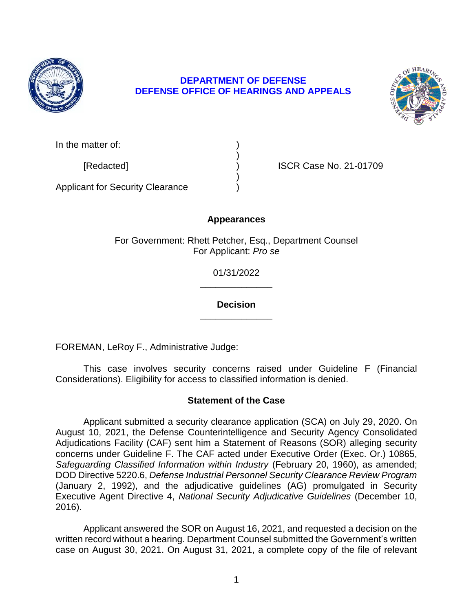

## **DEFENSE OFFICE OF HEARINGS AND APPEALS DEPARTMENT OF DEFENSE**



[Redacted] ) ISCR Case No. 21-01709

Applicant for Security Clearance )

# **Appearances**

)

)

For Government: Rhett Petcher, Esq., Department Counsel For Applicant: *Pro se* 

> **\_\_\_\_\_\_\_\_\_\_\_\_\_\_**  01/31/2022

> **\_\_\_\_\_\_\_\_\_\_\_\_\_\_ Decision**

FOREMAN, LeRoy F., Administrative Judge:

 This case involves security concerns raised under Guideline F (Financial Considerations). Eligibility for access to classified information is denied.

# **Statement of the Case**

 Applicant submitted a security clearance application (SCA) on July 29, 2020. On August 10, 2021, the Defense Counterintelligence and Security Agency Consolidated Adjudications Facility (CAF) sent him a Statement of Reasons (SOR) alleging security concerns under Guideline F. The CAF acted under Executive Order (Exec. Or.) 10865, Safeguarding Classified Information within Industry (February 20, 1960), as amended;  DOD Directive 5220.6, *Defense Industrial Personnel Security Clearance Review Program*  (January 2, 1992), and the adjudicative guidelines (AG) promulgated in Security Executive Agent Directive 4, *National Security Adjudicative Guidelines* (December 10, 2016).

 Applicant answered the SOR on August 16, 2021, and requested a decision on the written record without a hearing. Department Counsel submitted the Government's written case on August 30, 2021. On August 31, 2021, a complete copy of the file of relevant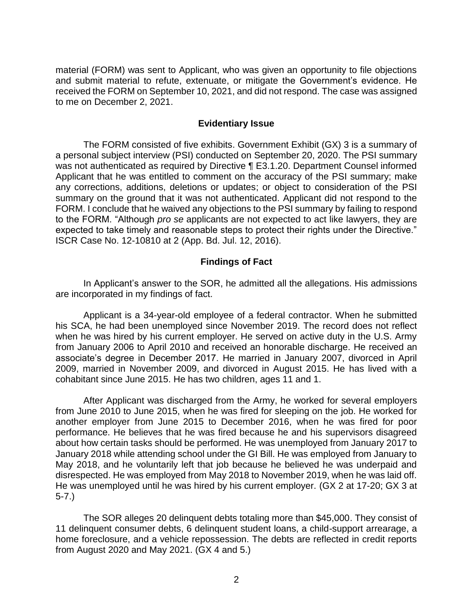material (FORM) was sent to Applicant, who was given an opportunity to file objections received the FORM on September 10, 2021, and did not respond. The case was assigned to me on December 2, 2021. and submit material to refute, extenuate, or mitigate the Government's evidence. He

#### **Evidentiary Issue**

 a personal subject interview (PSI) conducted on September 20, 2020. The PSI summary Applicant that he was entitled to comment on the accuracy of the PSI summary; make any corrections, additions, deletions or updates; or object to consideration of the PSI summary on the ground that it was not authenticated. Applicant did not respond to the FORM. I conclude that he waived any objections to the PSI summary by failing to respond to the FORM. "Although *pro se* applicants are not expected to act like lawyers, they are expected to take timely and reasonable steps to protect their rights under the Directive." The FORM consisted of five exhibits. Government Exhibit (GX) 3 is a summary of was not authenticated as required by Directive ¶ E3.1.20. Department Counsel informed ISCR Case No. 12-10810 at 2 (App. Bd. Jul. 12, 2016).

### **Findings of Fact**

 In Applicant's answer to the SOR, he admitted all the allegations. His admissions are incorporated in my findings of fact.

 Applicant is a 34-year-old employee of a federal contractor. When he submitted his SCA, he had been unemployed since November 2019. The record does not reflect when he was hired by his current employer. He served on active duty in the U.S. Army from January 2006 to April 2010 and received an honorable discharge. He received an associate's degree in December 2017. He married in January 2007, divorced in April 2009, married in November 2009, and divorced in August 2015. He has lived with a cohabitant since June 2015. He has two children, ages 11 and 1.

 After Applicant was discharged from the Army, he worked for several employers from June 2010 to June 2015, when he was fired for sleeping on the job. He worked for another employer from June 2015 to December 2016, when he was fired for poor performance. He believes that he was fired because he and his supervisors disagreed about how certain tasks should be performed. He was unemployed from January 2017 to January 2018 while attending school under the GI Bill. He was employed from January to May 2018, and he voluntarily left that job because he believed he was underpaid and disrespected. He was employed from May 2018 to November 2019, when he was laid off. He was unemployed until he was hired by his current employer. (GX 2 at 17-20; GX 3 at 5-7.)

 The SOR alleges 20 delinquent debts totaling more than \$45,000. They consist of 11 delinquent consumer debts, 6 delinquent student loans, a child-support arrearage, a home foreclosure, and a vehicle repossession. The debts are reflected in credit reports from August 2020 and May 2021. (GX 4 and 5.)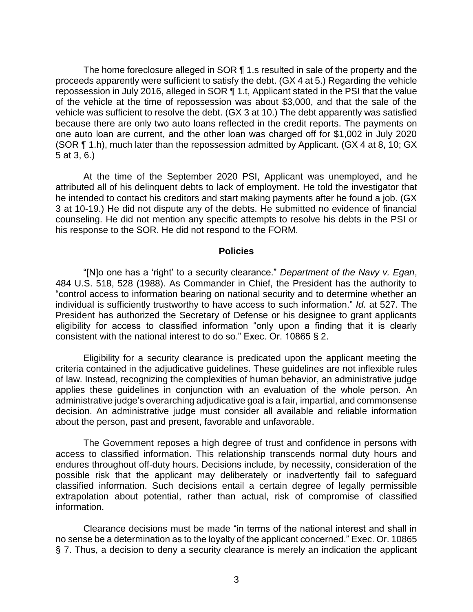The home foreclosure alleged in SOR 11.s resulted in sale of the property and the proceeds apparently were sufficient to satisfy the debt. (GX 4 at 5.) Regarding the vehicle repossession in July 2016, alleged in SOR ¶ 1.t, Applicant stated in the PSI that the value of the vehicle at the time of repossession was about \$3,000, and that the sale of the vehicle was sufficient to resolve the debt. (GX 3 at 10.) The debt apparently was satisfied because there are only two auto loans reflected in the credit reports. The payments on one auto loan are current, and the other loan was charged off for \$1,002 in July 2020 (SOR ¶ 1.h), much later than the repossession admitted by Applicant. (GX 4 at 8, 10; GX 5 at 3, 6.)

 At the time of the September 2020 PSI, Applicant was unemployed, and he attributed all of his delinquent debts to lack of employment. He told the investigator that 3 at 10-19.) He did not dispute any of the debts. He submitted no evidence of financial counseling. He did not mention any specific attempts to resolve his debts in the PSI or he intended to contact his creditors and start making payments after he found a job. (GX his response to the SOR. He did not respond to the FORM.

#### **Policies**

 "[N]o one has a 'right' to a security clearance." *Department of the Navy v. Egan*, 484 U.S. 518, 528 (1988). As Commander in Chief, the President has the authority to "control access to information bearing on national security and to determine whether an individual is sufficiently trustworthy to have access to such information." *Id.* at 527. The President has authorized the Secretary of Defense or his designee to grant applicants eligibility for access to classified information "only upon a finding that it is clearly consistent with the national interest to do so." Exec. Or. 10865 § 2.

 Eligibility for a security clearance is predicated upon the applicant meeting the criteria contained in the adjudicative guidelines. These guidelines are not inflexible rules applies these guidelines in conjunction with an evaluation of the whole person. An administrative judge's overarching adjudicative goal is a fair, impartial, and commonsense about the person, past and present, favorable and unfavorable. of law. Instead, recognizing the complexities of human behavior, an administrative judge decision. An administrative judge must consider all available and reliable information

 The Government reposes a high degree of trust and confidence in persons with access to classified information. This relationship transcends normal duty hours and endures throughout off-duty hours. Decisions include, by necessity, consideration of the possible risk that the applicant may deliberately or inadvertently fail to safeguard classified information. Such decisions entail a certain degree of legally permissible extrapolation about potential, rather than actual, risk of compromise of classified information.

 Clearance decisions must be made "in terms of the national interest and shall in no sense be a determination as to the loyalty of the applicant concerned." Exec. Or. 10865 § 7. Thus, a decision to deny a security clearance is merely an indication the applicant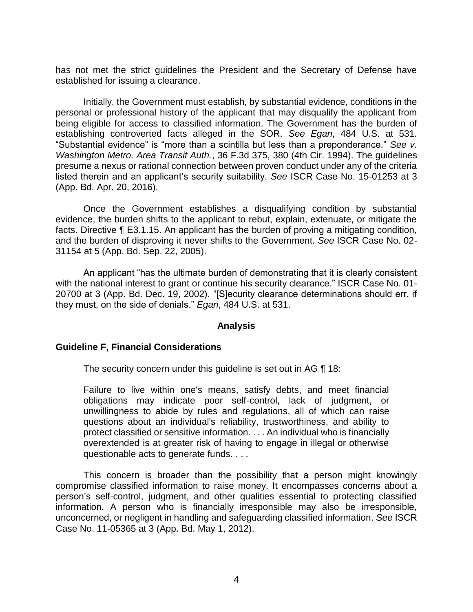has not met the strict guidelines the President and the Secretary of Defense have established for issuing a clearance.

 Initially, the Government must establish, by substantial evidence, conditions in the personal or professional history of the applicant that may disqualify the applicant from being eligible for access to classified information. The Government has the burden of establishing controverted facts alleged in the SOR. *See Egan*, 484 U.S. at 531. "Substantial evidence" is "more than a scintilla but less than a preponderance." *See v. Washington Metro. Area Transit Auth.*, 36 F.3d 375, 380 (4th Cir. 1994). The guidelines presume a nexus or rational connection between proven conduct under any of the criteria listed therein and an applicant's security suitability. *See* ISCR Case No. 15-01253 at 3 (App. Bd. Apr. 20, 2016).

Once the Government establishes a disqualifying condition by substantial evidence, the burden shifts to the applicant to rebut, explain, extenuate, or mitigate the facts. Directive ¶ E3.1.15. An applicant has the burden of proving a mitigating condition, and the burden of disproving it never shifts to the Government. *See* ISCR Case No. 02- 31154 at 5 (App. Bd. Sep. 22, 2005).

An applicant "has the ultimate burden of demonstrating that it is clearly consistent with the national interest to grant or continue his security clearance." ISCR Case No. 01-20700 at 3 (App. Bd. Dec. 19, 2002). "[S]ecurity clearance determinations should err, if they must, on the side of denials." *Egan*, 484 U.S. at 531.

#### **Analysis**

#### **Guideline F, Financial Considerations**

The security concern under this guideline is set out in AG ¶ 18:

Failure to live within one's means, satisfy debts, and meet financial obligations may indicate poor self-control, lack of judgment, or unwillingness to abide by rules and regulations, all of which can raise questions about an individual's reliability, trustworthiness, and ability to protect classified or sensitive information. . . . An individual who is financially overextended is at greater risk of having to engage in illegal or otherwise questionable acts to generate funds. . . .

 This concern is broader than the possibility that a person might knowingly compromise classified information to raise money. It encompasses concerns about a person's self-control, judgment, and other qualities essential to protecting classified information. A person who is financially irresponsible may also be irresponsible, unconcerned, or negligent in handling and safeguarding classified information. *See* ISCR Case No. 11-05365 at 3 (App. Bd. May 1, 2012).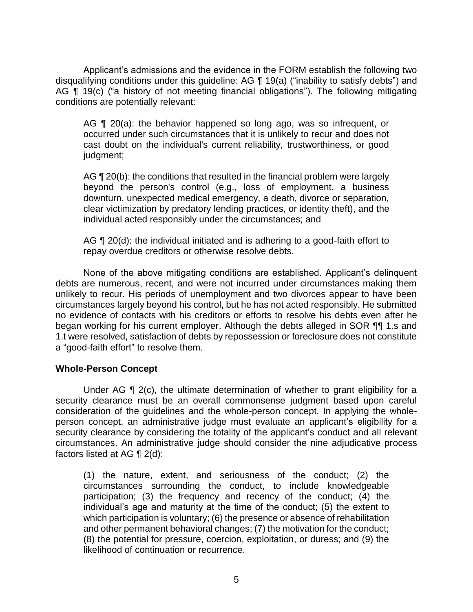Applicant's admissions and the evidence in the FORM establish the following two disqualifying conditions under this guideline: AG ¶ 19(a) ("inability to satisfy debts") and AG ¶ 19(c) ("a history of not meeting financial obligations"). The following mitigating conditions are potentially relevant:

AG ¶ 20(a): the behavior happened so long ago, was so infrequent, or occurred under such circumstances that it is unlikely to recur and does not cast doubt on the individual's current reliability, trustworthiness, or good judgment;

AG ¶ 20(b): the conditions that resulted in the financial problem were largely beyond the person's control (e.g., loss of employment, a business clear victimization by predatory lending practices, or identity theft), and the downturn, unexpected medical emergency, a death, divorce or separation, individual acted responsibly under the circumstances; and

AG ¶ 20(d): the individual initiated and is adhering to a good-faith effort to repay overdue creditors or otherwise resolve debts.

None of the above mitigating conditions are established. Applicant's delinquent debts are numerous, recent, and were not incurred under circumstances making them unlikely to recur. His periods of unemployment and two divorces appear to have been circumstances largely beyond his control, but he has not acted responsibly. He submitted no evidence of contacts with his creditors or efforts to resolve his debts even after he began working for his current employer. Although the debts alleged in SOR ¶¶ 1.s and 1.t were resolved, satisfaction of debts by repossession or foreclosure does not constitute a "good-faith effort" to resolve them.

### **Whole-Person Concept**

Under AG  $\P$  2(c), the ultimate determination of whether to grant eligibility for a security clearance must be an overall commonsense judgment based upon careful consideration of the guidelines and the whole-person concept. In applying the whole- person concept, an administrative judge must evaluate an applicant's eligibility for a security clearance by considering the totality of the applicant's conduct and all relevant circumstances. An administrative judge should consider the nine adjudicative process factors listed at AG ¶ 2(d):

 (1) the nature, extent, and seriousness of the conduct; (2) the circumstances surrounding the conduct, to include knowledgeable participation; (3) the frequency and recency of the conduct; (4) the individual's age and maturity at the time of the conduct; (5) the extent to which participation is voluntary; (6) the presence or absence of rehabilitation and other permanent behavioral changes; (7) the motivation for the conduct; (8) the potential for pressure, coercion, exploitation, or duress; and (9) the likelihood of continuation or recurrence.